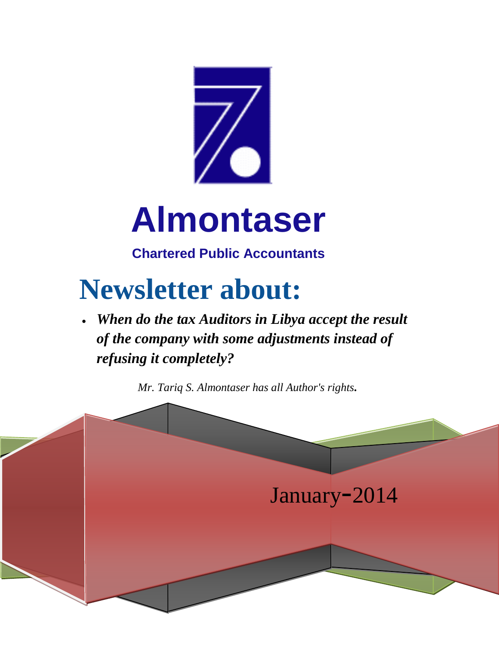

## **Almontaser**

**Chartered Public Accountants**

## **Newsletter about:**

 *When do the tax Auditors in Libya accept the result of the company with some adjustments instead of refusing it completely?*

*Mr. Tariq S. Almontaser has all Author's rights.*